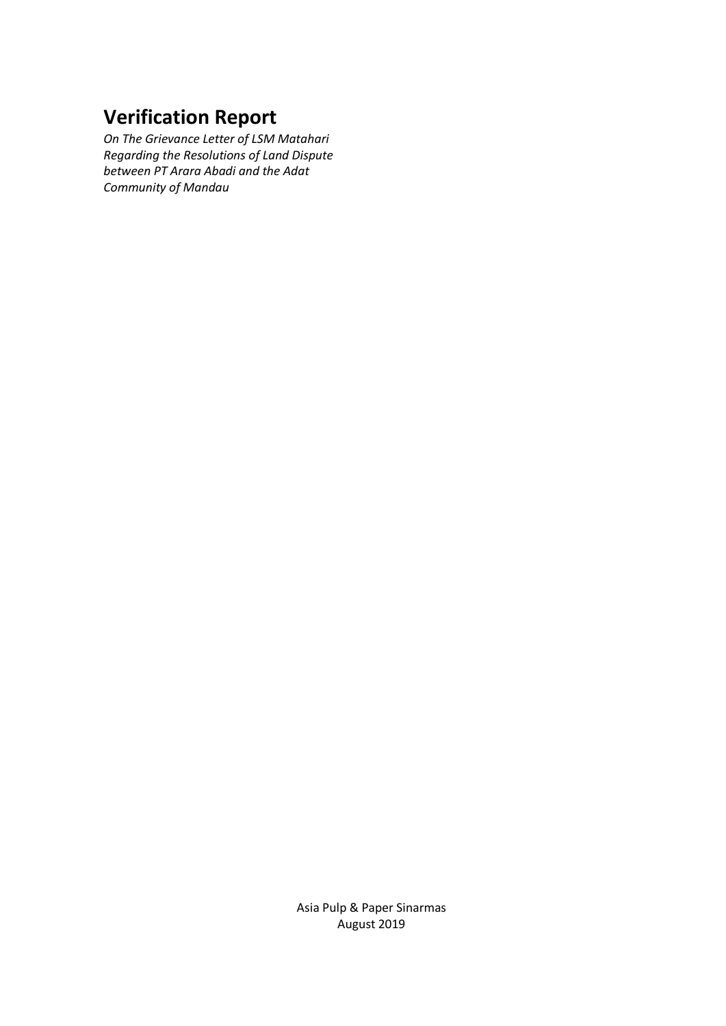# **Verification Report**

*On The Grievance Letter of LSM Matahari Regarding the Resolutions of Land Dispute between PT Arara Abadi and the Adat Community of Mandau*

> Asia Pulp & Paper Sinarmas August 2019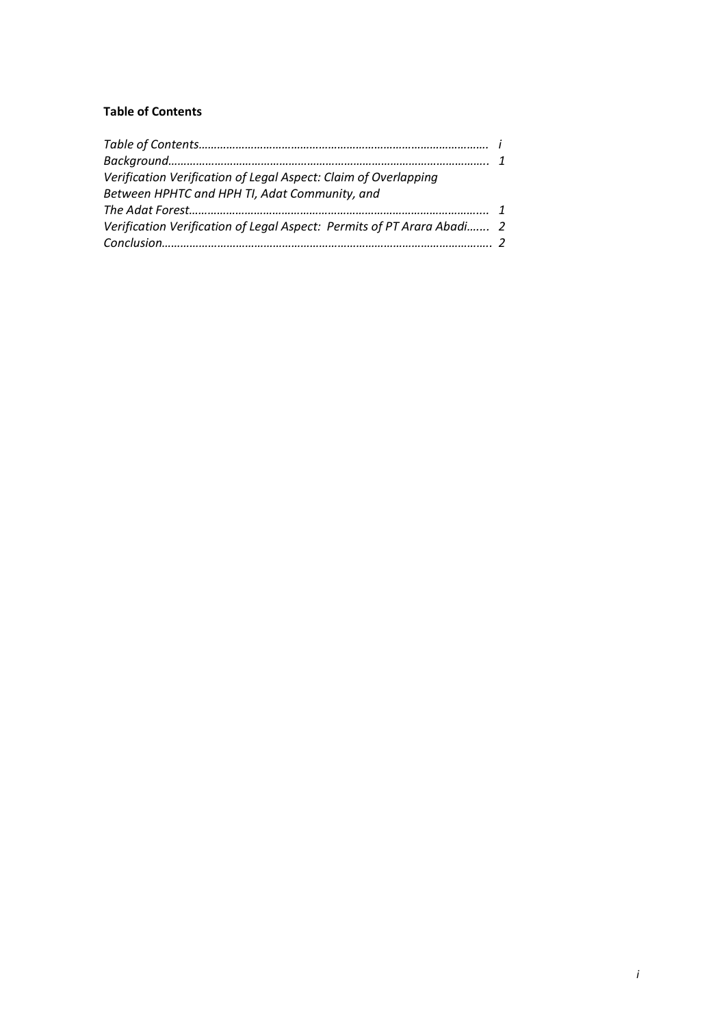## **Table of Contents**

| Verification Verification of Legal Aspect: Claim of Overlapping        |  |
|------------------------------------------------------------------------|--|
| Between HPHTC and HPH TI, Adat Community, and                          |  |
|                                                                        |  |
| Verification Verification of Legal Aspect: Permits of PT Arara Abadi 2 |  |
|                                                                        |  |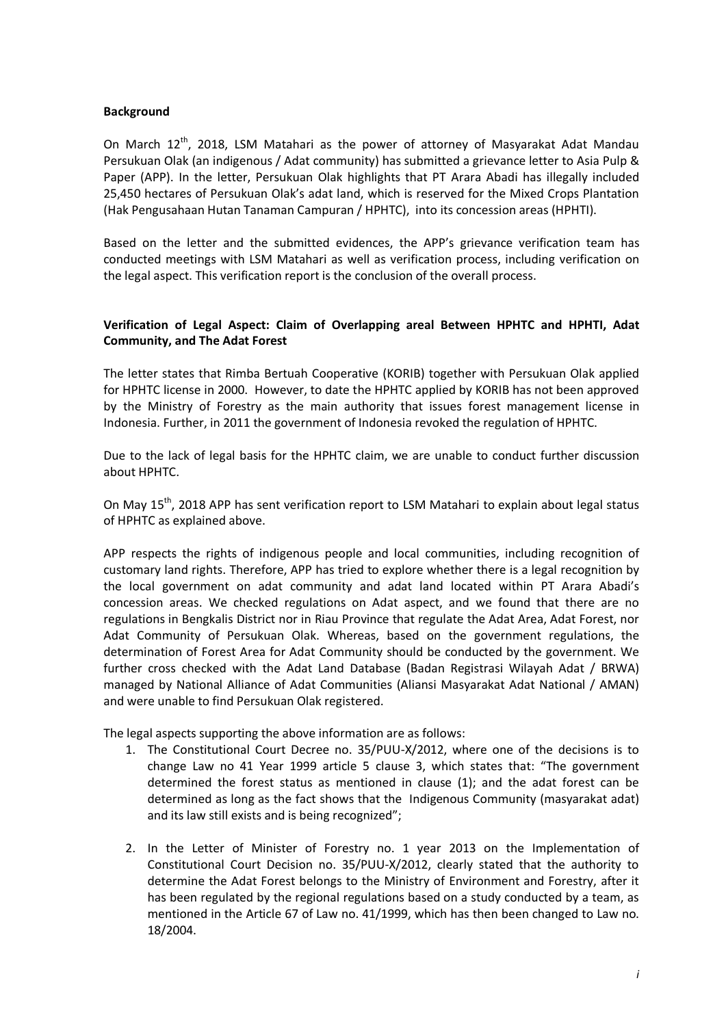### **Background**

On March 12<sup>th</sup>, 2018, LSM Matahari as the power of attorney of Masyarakat Adat Mandau Persukuan Olak (an indigenous / Adat community) has submitted a grievance letter to Asia Pulp & Paper (APP). In the letter, Persukuan Olak highlights that PT Arara Abadi has illegally included 25,450 hectares of Persukuan Olak's adat land, which is reserved for the Mixed Crops Plantation (Hak Pengusahaan Hutan Tanaman Campuran / HPHTC), into its concession areas (HPHTI).

Based on the letter and the submitted evidences, the APP's grievance verification team has conducted meetings with LSM Matahari as well as verification process, including verification on the legal aspect. This verification report is the conclusion of the overall process.

## **Verification of Legal Aspect: Claim of Overlapping areal Between HPHTC and HPHTI, Adat Community, and The Adat Forest**

The letter states that Rimba Bertuah Cooperative (KORIB) together with Persukuan Olak applied for HPHTC license in 2000. However, to date the HPHTC applied by KORIB has not been approved by the Ministry of Forestry as the main authority that issues forest management license in Indonesia. Further, in 2011 the government of Indonesia revoked the regulation of HPHTC.

Due to the lack of legal basis for the HPHTC claim, we are unable to conduct further discussion about HPHTC.

On May 15<sup>th</sup>, 2018 APP has sent verification report to LSM Matahari to explain about legal status of HPHTC as explained above.

APP respects the rights of indigenous people and local communities, including recognition of customary land rights. Therefore, APP has tried to explore whether there is a legal recognition by the local government on adat community and adat land located within PT Arara Abadi's concession areas. We checked regulations on Adat aspect, and we found that there are no regulations in Bengkalis District nor in Riau Province that regulate the Adat Area, Adat Forest, nor Adat Community of Persukuan Olak. Whereas, based on the government regulations, the determination of Forest Area for Adat Community should be conducted by the government. We further cross checked with the Adat Land Database (Badan Registrasi Wilayah Adat / BRWA) managed by National Alliance of Adat Communities (Aliansi Masyarakat Adat National / AMAN) and were unable to find Persukuan Olak registered.

The legal aspects supporting the above information are as follows:

- 1. The Constitutional Court Decree no. 35/PUU-X/2012, where one of the decisions is to change Law no 41 Year 1999 article 5 clause 3, which states that: "The government determined the forest status as mentioned in clause (1); and the adat forest can be determined as long as the fact shows that the Indigenous Community (masyarakat adat) and its law still exists and is being recognized";
- 2. In the Letter of Minister of Forestry no. 1 year 2013 on the Implementation of Constitutional Court Decision no. 35/PUU-X/2012, clearly stated that the authority to determine the Adat Forest belongs to the Ministry of Environment and Forestry, after it has been regulated by the regional regulations based on a study conducted by a team, as mentioned in the Article 67 of Law no. 41/1999, which has then been changed to Law no. 18/2004.